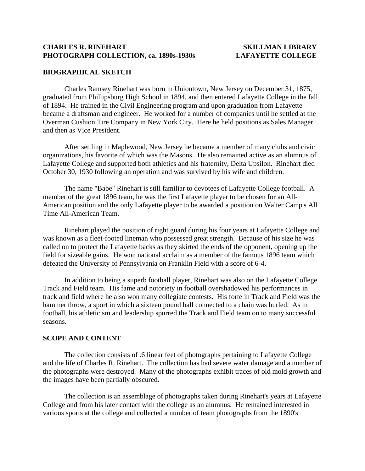### **CHARLES R. RINEHART SKILLMAN LIBRARY PHOTOGRAPH COLLECTION, ca. 1890s-1930s LAFAYETTE COLLEGE**

## **BIOGRAPHICAL SKETCH**

 Charles Ramsey Rinehart was born in Uniontown, New Jersey on December 31, 1875, graduated from Phillipsburg High School in 1894, and then entered Lafayette College in the fall of 1894. He trained in the Civil Engineering program and upon graduation from Lafayette became a draftsman and engineer. He worked for a number of companies until he settled at the Overman Cushion Tire Company in New York City. Here he held positions as Sales Manager and then as Vice President.

 After settling in Maplewood, New Jersey he became a member of many clubs and civic organizations, his favorite of which was the Masons. He also remained active as an alumnus of Lafayette College and supported both athletics and his fraternity, Delta Upsilon. Rinehart died October 30, 1930 following an operation and was survived by his wife and children.

 The name "Babe" Rinehart is still familiar to devotees of Lafayette College football. A member of the great 1896 team, he was the first Lafayette player to be chosen for an All-American position and the only Lafayette player to be awarded a position on Walter Camp's All Time All-American Team.

 Rinehart played the position of right guard during his four years at Lafayette College and was known as a fleet-footed lineman who possessed great strength. Because of his size he was called on to protect the Lafayette backs as they skirted the ends of the opponent, opening up the field for sizeable gains. He won national acclaim as a member of the famous 1896 team which defeated the University of Pennsylvania on Franklin Field with a score of 6-4.

 In addition to being a superb football player, Rinehart was also on the Lafayette College Track and Field team. His fame and notoriety in football overshadowed his performances in track and field where he also won many collegiate contests. His forte in Track and Field was the hammer throw, a sport in which a sixteen pound ball connected to a chain was hurled. As in football, his athleticism and leadership spurred the Track and Field team on to many successful seasons.

### **SCOPE AND CONTENT**

 The collection consists of .6 linear feet of photographs pertaining to Lafayette College and the life of Charles R. Rinehart. The collection has had severe water damage and a number of the photographs were destroyed. Many of the photographs exhibit traces of old mold growth and the images have been partially obscured.

 The collection is an assemblage of photographs taken during Rinehart's years at Lafayette College and from his later contact with the college as an alumnus. He remained interested in various sports at the college and collected a number of team photographs from the 1890's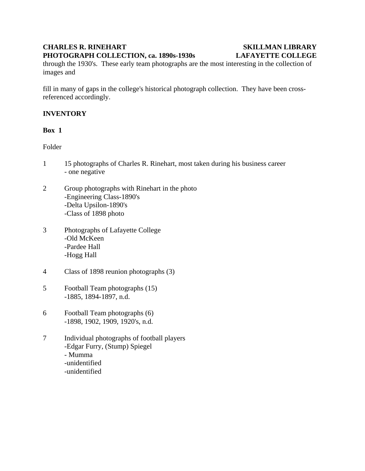# **CHARLES R. RINEHART SKILLMAN LIBRARY PHOTOGRAPH COLLECTION, ca. 1890s-1930s LAFAYETTE COLLEGE**

# through the 1930's. These early team photographs are the most interesting in the collection of images and

fill in many of gaps in the college's historical photograph collection. They have been crossreferenced accordingly.

# **INVENTORY**

# **Box 1**

Folder

- 1 15 photographs of Charles R. Rinehart, most taken during his business career - one negative
- 2 Group photographs with Rinehart in the photo -Engineering Class-1890's -Delta Upsilon-1890's -Class of 1898 photo
- 3 Photographs of Lafayette College -Old McKeen -Pardee Hall -Hogg Hall
- 4 Class of 1898 reunion photographs (3)
- 5 Football Team photographs (15) -1885, 1894-1897, n.d.
- 6 Football Team photographs (6) -1898, 1902, 1909, 1920's, n.d.
- 7 Individual photographs of football players -Edgar Furry, (Stump) Spiegel - Mumma -unidentified -unidentified